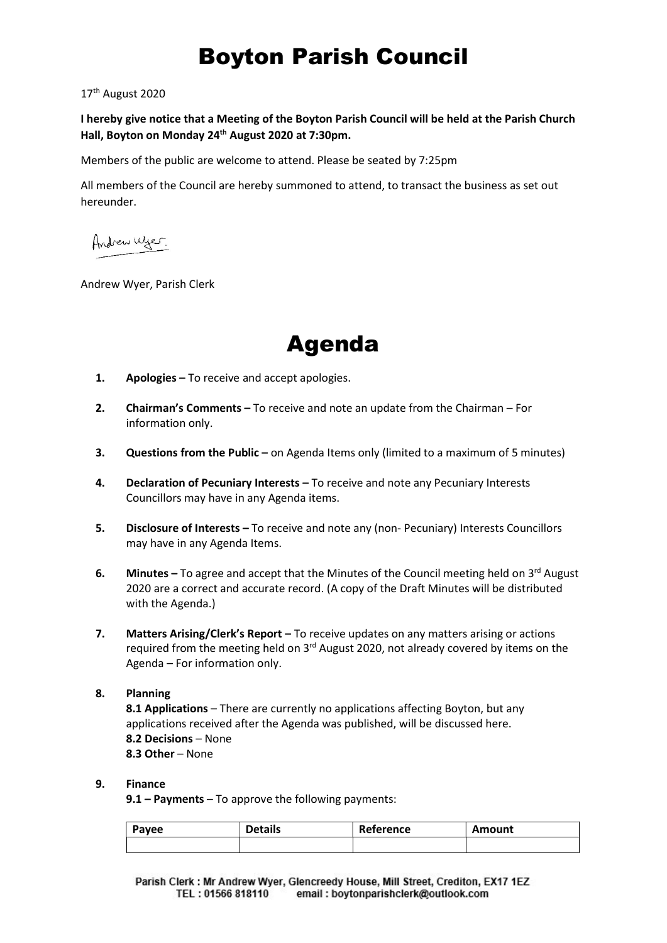# Boyton Parish Council

17th August 2020

I hereby give notice that a Meeting of the Boyton Parish Council will be held at the Parish Church Hall, Boyton on Monday 24<sup>th</sup> August 2020 at 7:30pm.

Members of the public are welcome to attend. Please be seated by 7:25pm

All members of the Council are hereby summoned to attend, to transact the business as set out hereunder.

Andrew Wyer.

Andrew Wyer, Parish Clerk



- 1. Apologies To receive and accept apologies.
- 2. Chairman's Comments To receive and note an update from the Chairman For information only.
- **3.** Questions from the Public on Agenda Items only (limited to a maximum of 5 minutes)
- 4. Declaration of Pecuniary Interests To receive and note any Pecuniary Interests Councillors may have in any Agenda items.
- 5. Disclosure of Interests To receive and note any (non- Pecuniary) Interests Councillors may have in any Agenda Items.
- 6. Minutes  $-$  To agree and accept that the Minutes of the Council meeting held on  $3<sup>rd</sup>$  August 2020 are a correct and accurate record. (A copy of the Draft Minutes will be distributed with the Agenda.)
- 7. Matters Arising/Clerk's Report To receive updates on any matters arising or actions required from the meeting held on 3<sup>rd</sup> August 2020, not already covered by items on the Agenda – For information only.

## 8. Planning

8.1 Applications - There are currently no applications affecting Boyton, but any applications received after the Agenda was published, will be discussed here. 8.2 Decisions – None 8.3 Other – None

## 9. Finance

9.1 – Payments – To approve the following payments:

| Payee | Details | Reference | Amount |
|-------|---------|-----------|--------|
|       |         |           |        |